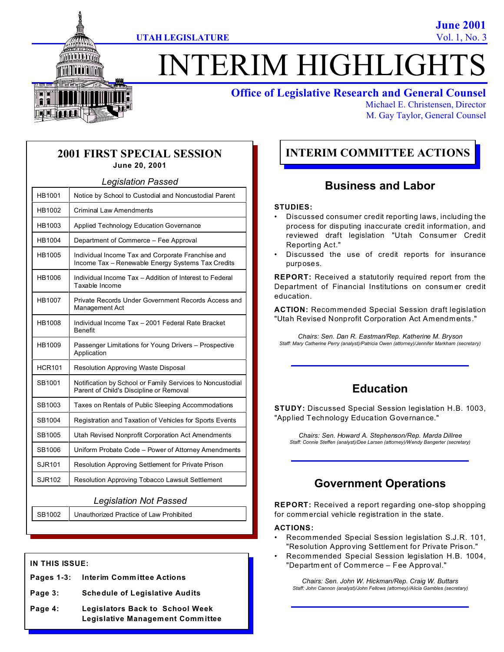**June 2001**



# **ITERIM HIGHLIGHT**

## **Office of Legislative Research and General Counsel**

Michael E. Christensen, Director M. Gay Taylor, General Counsel

## **2001 FIRST SPECIAL SESSION June 20, 2001**

| <b>Legislation Passed</b> |                                                                                                        |  |  |  |
|---------------------------|--------------------------------------------------------------------------------------------------------|--|--|--|
| HB1001                    | Notice by School to Custodial and Noncustodial Parent                                                  |  |  |  |
| HB1002                    | <b>Criminal Law Amendments</b>                                                                         |  |  |  |
| HB1003                    | Applied Technology Education Governance                                                                |  |  |  |
| HB1004                    | Department of Commerce - Fee Approval                                                                  |  |  |  |
| HB1005                    | Individual Income Tax and Corporate Franchise and<br>Income Tax - Renewable Energy Systems Tax Credits |  |  |  |
| HB1006                    | Individual Income Tax - Addition of Interest to Federal<br>Taxable Income                              |  |  |  |
| HB1007                    | Private Records Under Government Records Access and<br>Management Act                                  |  |  |  |
| HB1008                    | Individual Income Tax - 2001 Federal Rate Bracket<br><b>Benefit</b>                                    |  |  |  |
| HB1009                    | Passenger Limitations for Young Drivers - Prospective<br>Application                                   |  |  |  |
| <b>HCR101</b>             | Resolution Approving Waste Disposal                                                                    |  |  |  |
| SB1001                    | Notification by School or Family Services to Noncustodial<br>Parent of Child's Discipline or Removal   |  |  |  |
| SB1003                    | Taxes on Rentals of Public Sleeping Accommodations                                                     |  |  |  |
| SB1004                    | Registration and Taxation of Vehicles for Sports Events                                                |  |  |  |
| SB1005                    | Utah Revised Nonprofit Corporation Act Amendments                                                      |  |  |  |
| SB1006                    | Uniform Probate Code - Power of Attorney Amendments                                                    |  |  |  |
| SJR101                    | Resolution Approving Settlement for Private Prison                                                     |  |  |  |
| <b>SJR102</b>             | Resolution Approving Tobacco Lawsuit Settlement                                                        |  |  |  |

#### *Legislation Not Passed*

SB1002 Unauthorized Practice of Law Prohibited

## **IN THIS ISSUE:**

- **Pages 1-3: Interim Committee Actions**
- **Page 3: Schedule of Legislative Audits**
- **Page 4: Legislators Back to School Week Legislative Management Committee**

# **INTERIM COMMITTEE ACTIONS**

## **Business and Labor**

#### **STUDIES:**

- Discussed consumer credit reporting laws, including the process for disputing inaccurate credit information, and reviewed draft legislation "Utah Consumer Credit Reporting Act."
- Discussed the use of credit reports for insurance purposes.

**REPORT:** Received a statutorily required report from the Department of Financial Institutions on consum er credit education.

**ACTION:** Recommended Special Session draft legislation "Utah Revised Nonprofit Corporation Act Amendments."

*Chairs: Sen. Dan R. Eastman/Rep. Katherine M. Bryson Staff: Mary Catherine Perry (analyst)/Patricia Owen (attorney)/Jennifer Markham (secretary)*

## **Education**

**STUDY:** Discussed Special Session legislation H.B. 1003, "Applied Technology Education Governance."

*Chairs: Sen. Howard A. Stephenson/Rep. Marda Dillree Staff: Connie Steffen (analyst)/Dee Larsen (attorney)/Wendy Bangerter (secretary)*

# **Government Operations**

**REPORT:** Received a report regarding one-stop shopping for commercial vehicle registration in the state.

#### **ACTIONS:**

- Recommended Special Session legislation S.J.R. 101, "Resolution Approving Settlement for Private Prison."
- Recommended Special Session legislation H.B. 1004, "Departm ent of Commerce – Fee Approval."

*Chairs: Sen. John W. Hickman/Rep. Craig W. Buttars Staff: John Cannon (analyst)/John Fellows (attorney)/Alicia Gambles (secretary)*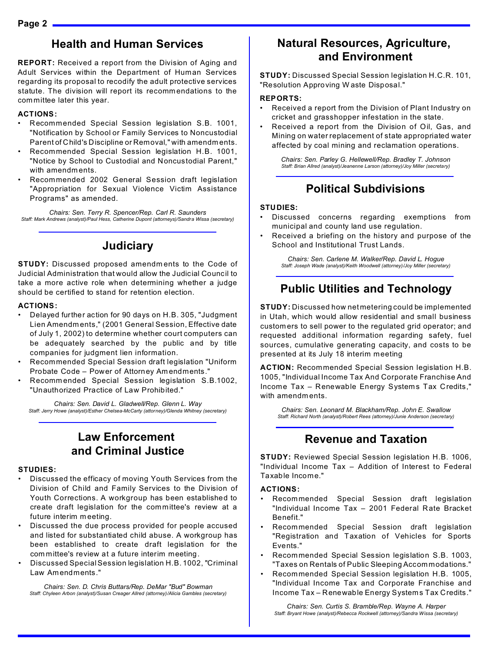## **Health and Human Services**

**REPORT:** Received a report from the Division of Aging and Adult Services within the Department of Human Services regarding its proposal to recodify the adult protective services statute. The division will report its recommendations to the committee later this year.

#### **ACTIONS:**

- Recommended Special Session legislation S.B. 1001, "Notification by School or Family Services to Noncustodial Parent of Child's Discipline or Removal," with amendm ents.
- Recommended Special Session legislation H.B. 1001, "Notice by School to Custodial and Noncustodial Parent," with amendm ents.
- Recommended 2002 General Session draft legislation "Appropriation for Sexual Violence Victim Assistance Programs" as amended.

*Chairs: Sen. Terry R. Spencer/Rep. Carl R. Saunders Staff: Mark Andrews (analyst)/Paul Hess, Catherine Dupont (attorneys)/Sandra Wissa (secretary)*

## **Judiciary**

**STUDY:** Discussed proposed amendm ents to the Code of Judicial Administration that would allow the Judicial Council to take a more active role when determining whether a judge should be certified to stand for retention election.

#### **ACTIONS:**

- Delayed further action for 90 days on H.B. 305, "Judgment Lien Amendm ents," (2001 General Session, Effective date of July 1, 2002) to determine whether court computers can be adequately searched by the public and by title companies for judgment lien information.
- Recommended Special Session draft legislation "Uniform Probate Code – Power of Attorney Am endments."
- Recomm ended Special Session legislation S.B.1002, "Unauthorized Practice of Law Prohibited."

*Chairs: Sen. David L. Gladwell/Rep. Glenn L. Way Staff: Jerry Howe (analyst)/Esther Chelsea-McCarty (attorney)/Glenda Whitney (secretary)*

## **Law Enforcement and Criminal Justice**

#### **STUDIES:**

- Discussed the efficacy of moving Youth Services from the Division of Child and Family Services to the Division of Youth Corrections. A workgroup has been established to create draft legislation for the committee's review at a future interim m eeting.
- Discussed the due process provided for people accused and listed for substantiated child abuse. A workgroup has been established to create draft legislation for the com mittee's review at a future interim meeting.
- Discussed Special Session legislation H.B. 1002, "Criminal Law Am endments."

*Chairs: Sen. D. Chris Buttars/Rep. DeMar "Bud" Bowman Staff: Chyleen Arbon (analyst)/Susan Creager Allred (attorney)/Alicia Gambles (secretary)*

## **Natural Resources, Agriculture, and Environment**

**STUDY:** Discussed Special Session legislation H.C.R. 101, "Resolution Approving W aste Disposal."

#### **REPORTS:**

- Received a report from the Division of Plant Industry on cricket and grasshopper infestation in the state.
- Received a report from the Division of Oil, Gas, and Mining on water replacement of state appropriated water affected by coal mining and reclamation operations.

*Chairs: Sen. Parley G. Hellewell/Rep. Bradley T. Johnson Staff: Brian Allred (analyst)/Jeanenne Larson (attorney)/Joy Miller (secretary)*

# **Political Subdivisions**

#### **STUDIES:**

- Discussed concerns regarding exemptions from municipal and county land use regulation.
- Received a briefing on the history and purpose of the School and Institutional Trust Lands.

*Chairs: Sen. Carlene M. Walker/Rep. David L. Hogue Staff: Joseph Wade (analyst)/Keith Woodwell (attorney)/Joy Miller (secretary)*

# **Public Utilities and Technology**

**STUDY:** Discussed how net metering could be implemented in Utah, which would allow residential and small business custom ers to sell power to the regulated grid operator; and requested additional information regarding safety, fuel sources, cumulative generating capacity, and costs to be presented at its July 18 interim meeting.

**ACTION:** Recommended Special Session legislation H.B. 1005, "Individual Income Tax And Corporate Franchise And Income Tax - Renewable Energy Systems Tax Credits," with amendm ents.

*Chairs: Sen. Leonard M. Blackham/Rep. John E. Swallow Staff: Richard North (analyst)/Robert Rees (attorney)/Junie Anderson (secretary)*

## **Revenue and Taxation**

**STUDY:** Reviewed Special Session legislation H.B. 1006, "Individual Income Tax – Addition of Interest to Federal Taxable Income."

#### **ACTIONS:**

- Recommended Special Session draft legislation "Individual Income Tax – 2001 Federal Rate Bracket Benefit."
- Recommended Special Session draft legislation "Registration and Taxation of Vehicles for Sports Events."
- Recommended Special Session legislation S.B. 1003, "Taxes on Rentals of Public Sleeping Accommodations."
- Recommended Special Session legislation H.B. 1005, "Individual Income Tax and Corporate Franchise and Income Tax – Renewable Energy System s Tax Credits."

*Chairs: Sen. Curtis S. Bramble/Rep. Wayne A. Harper Staff: Bryant Howe (analyst)/Rebecca Rockwell (attorney)/Sandra Wissa (secretary)*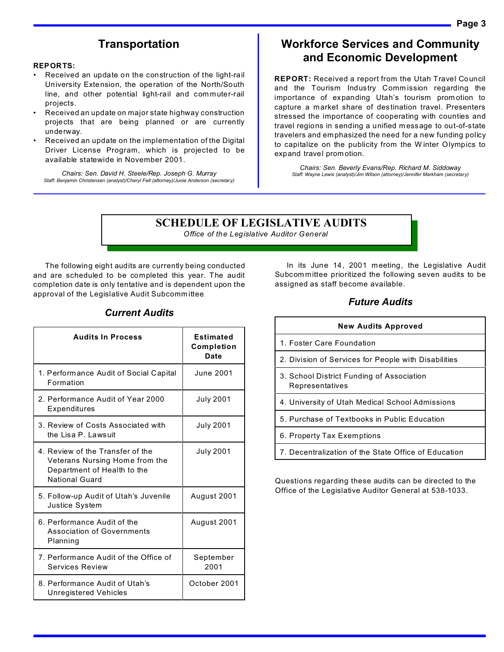## **Transportation**

#### **REPORTS:**

- Received an update on the construction of the light-rail University Extension, the operation of the North/South line, and other potential light-rail and com muter-rail projects.
- Received an update on major state highway construction projects that are being planned or are currently underway.
- Received an update on the implementation of the Digital Driver License Program, which is projected to be available statewide in November 2001.

*Chairs: Sen. David H. Steele/Rep. Joseph G. Murray Staff: Benjamin Christensen (analyst)/Cheryl Felt (attorney)/Junie Anderson (secretary)*

## **Workforce Services and Community and Economic Development**

**REPORT:** Received a report from the Utah Travel Council and the Tourism Industry Comm ission regarding the importance of expanding Utah's tourism prom otion to capture a market share of destination travel. Presenters stressed the importance of cooperating with counties and travel regions in sending a unified m essage to out-of-state travelers and em phasized the need for a new funding policy to capitalize on the publicity from the W inter Olympics to expand travel prom otion.

*Chairs: Sen. Beverly Evans/Rep. Richard M. Siddoway Staff: Wayne Lewis (analyst)/Jim Wilson (attorney)/Jennifer Markham (secretary)*

## **SCHEDULE OF LEGISLATIVE AUDITS**

*Office of the Legislative Auditor General* 

The following eight audits are currently being conducted and are scheduled to be completed this year. The audit completion date is only tentative and is dependent upon the approval of the Legislative Audit Subcomm ittee.

In its June 14, 2001 meeting, the Legislative Audit Subcom mittee prioritized the following seven audits to be assigned as staff become available.

## *Future Audits*

| <b>New Audits Approved</b>                                   |  |  |
|--------------------------------------------------------------|--|--|
| 1. Foster Care Foundation                                    |  |  |
| 2. Division of Services for People with Disabilities         |  |  |
| 3. School District Funding of Association<br>Representatives |  |  |
| 4. University of Utah Medical School Admissions              |  |  |
| 5. Purchase of Textbooks in Public Education                 |  |  |
| 6. Property Tax Exemptions                                   |  |  |
| 7. Decentralization of the State Office of Education         |  |  |

Questions regarding these audits can be directed to the Office of the Legislative Auditor General at 538-1033.

## *Current Audits*

| <b>Audits In Process</b>                                                                                                   | <b>Estimated</b><br><b>Completion</b><br>Date |
|----------------------------------------------------------------------------------------------------------------------------|-----------------------------------------------|
| 1. Performance Audit of Social Capital<br>Formation                                                                        | <b>June 2001</b>                              |
| 2. Performance Audit of Year 2000<br>Expenditures                                                                          | <b>July 2001</b>                              |
| 3. Review of Costs Associated with<br>the Lisa P. Lawsuit                                                                  | <b>July 2001</b>                              |
| 4. Review of the Transfer of the<br>Veterans Nursing Home from the<br>Department of Health to the<br><b>National Guard</b> | July 2001                                     |
| 5. Follow-up Audit of Utah's Juvenile<br>Justice System                                                                    | August 2001                                   |
| 6. Performance Audit of the<br><b>Association of Governments</b><br>Planning                                               | August 2001                                   |
| 7. Performance Audit of the Office of<br><b>Services Review</b>                                                            | September<br>2001                             |
| 8. Performance Audit of Utah's<br>Unregistered Vehicles                                                                    | October 2001                                  |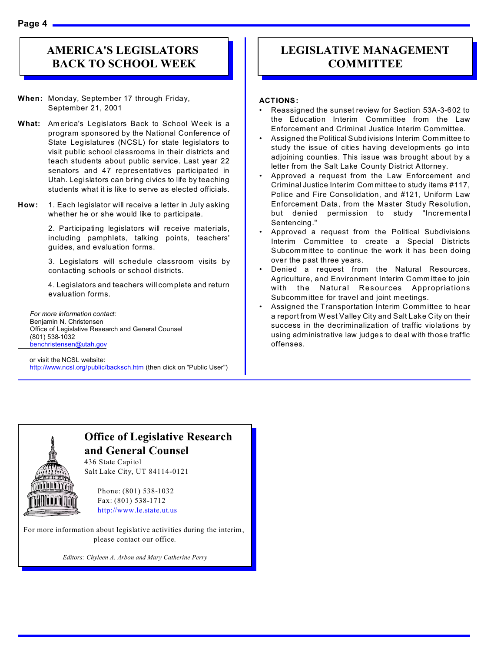**Page 4** 

# **AMERICA'S LEGISLATORS BACK TO SCHOOL WEEK**

- **When:** Monday, September 17 through Friday, September 21, 2001
- **What:** Am erica's Legislators Back to School Week is a program sponsored by the National Conference of State Legislatures (NCSL) for state legislators to visit public school classrooms in their districts and teach students about public service. Last year 22 senators and 47 representatives participated in Utah. Legislators can bring civics to life by teaching students what it is like to serve as elected officials.
- **How:** 1. Each legislator will receive a letter in July asking whether he or she would like to participate.

2. Participating legislators will receive materials, including pamphlets, talking points, teachers' guides, and evaluation forms.

3. Legislators will schedule classroom visits by contacting schools or school districts.

4. Legislators and teachers will complete and return evaluation forms.

*For more information contact:* Benjamin N. Christensen Office of Legislative Research and General Counsel (801) 538-1032 benchristensen@utah.gov

or visit the NCSL website: http://www.ncsl.org/public/backsch.htm (then click on "Public User")

# **LEGISLATIVE MANAGEMENT COMMITTEE**

#### **ACTIONS:**

- Reassigned the sunset review for Section 53A-3-602 to the Education Interim Committee from the Law Enforcement and Criminal Justice Interim Committee.
- Assigned the Political Subdivisions Interim Committee to study the issue of cities having developm ents go into adjoining counties. This issue was brought about by a letter from the Salt Lake County District Attorney.
- Approved a request from the Law Enforcement and Criminal Justice Interim Committee to study items #117, Police and Fire Consolidation, and #121, Uniform Law Enforcement Data, from the Master Study Resolution, but denied permission to study "Incremental Sentencing."
- Approved a request from the Political Subdivisions Interim Committee to create a Special Districts Subcommittee to continue the work it has been doing over the past three years.
- Denied a request from the Natural Resources, Agriculture, and Environment Interim Comm ittee to join with the Natural Resources Appropriations Subcomm ittee for travel and joint meetings.
- Assigned the Transportation Interim Comm ittee to hear a report from W est Valley City and Salt Lake City on their success in the decriminalization of traffic violations by using administrative law judges to deal with those traffic offenses.



# **Office of Legislative Research and General Counsel**

436 State Capitol Salt Lake City, UT 84114-0121

> Phone: (801) 538-1032 Fax: (801) 538-1712 http://www.le.state.ut.us

For more information about legislative activities during the interim, please contact our office.

*Editors: Chyleen A. Arbon and Mary Catherine Perry*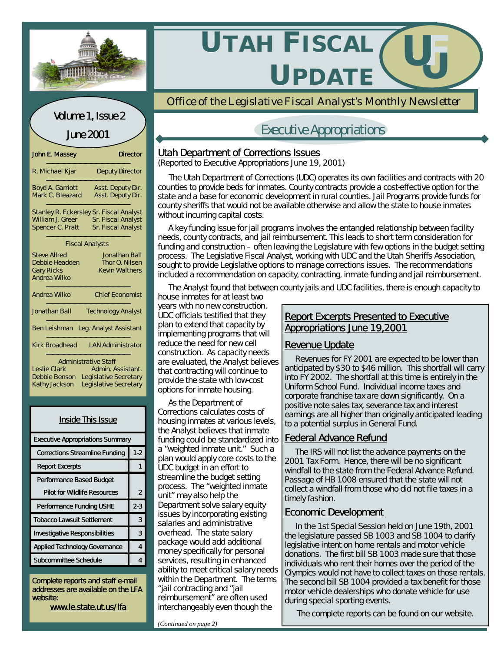



| <b>Inside This Issue</b>                |         |  |  |  |
|-----------------------------------------|---------|--|--|--|
| <b>Executive Appropriations Summary</b> |         |  |  |  |
| <b>Corrections Streamline Funding</b>   | $1-2$   |  |  |  |
| <b>Report Excerpts</b>                  |         |  |  |  |
| <b>Performance Based Budget</b>         |         |  |  |  |
| <b>Pilot for Wildlife Resources</b>     | 2       |  |  |  |
| <b>Performance Funding USHE</b>         | $2 - 3$ |  |  |  |
| <b>Tobacco Lawsuit Settlement</b>       |         |  |  |  |
| <b>Investigative Responsibilities</b>   |         |  |  |  |
| <b>Applied Technology Governance</b>    |         |  |  |  |
| <b>Subcommittee Schedule</b>            |         |  |  |  |

Complete reports and staff e-mail addresses are available on the LFA website:

www.le.state.ut.us/lfa



*Office of the Legislative Fiscal Analyst's Monthly Newsletter*

# Executive Appropriations

## **Utah Department of Corrections Issues**

(Reported to Executive Appropriations June 19, 2001)

 The Utah Department of Corrections (UDC) operates its own facilities and contracts with 20 counties to provide beds for inmates. County contracts provide a cost-effective option for the state and a base for economic development in rural counties. Jail Programs provide funds for county sheriffs that would not be available otherwise and allow the state to house inmates without incurring capital costs.

 A key funding issue for jail programs involves the entangled relationship between facility needs, county contracts, and jail reimbursement. This leads to short term consideration for funding and construction – often leaving the Legislature with few options in the budget setting process. The Legislative Fiscal Analyst, working with UDC and the Utah Sheriffs Association, sought to provide Legislative options to manage corrections issues. The recommendations included a recommendation on capacity, contracting, inmate funding and jail reimbursement.

The Analyst found that between county jails and UDC facilities, there is enough capacity to

house inmates for at least two years with no new construction. UDC officials testified that they plan to extend that capacity by implementing programs that will reduce the need for new cell construction. As capacity needs are evaluated, the Analyst believes that contracting will continue to provide the state with low-cost options for inmate housing.

 As the Department of Corrections calculates costs of housing inmates at various levels, the Analyst believes that inmate funding could be standardized into a "weighted inmate unit." Such a plan would apply core costs to the UDC budget in an effort to streamline the budget setting process. The "weighted inmate unit" may also help the Department solve salary equity issues by incorporating existing salaries and administrative overhead. The state salary package would add additional money specifically for personal services, resulting in enhanced ability to meet critical salary needs within the Department. The terms "jail contracting and "jail reimbursement" are often used interchangeably even though the

## Report Excerpts Presented to Executive Appropriations June 19,2001

# Revenue Update

 Revenues for FY 2001 are expected to be lower than anticipated by \$30 to \$46 million. This shortfall will carry into FY 2002. The shortfall at this time is entirely in the Uniform School Fund. Individual income taxes and corporate franchise tax are down significantly. On a positive note sales tax, severance tax and interest earnings are all higher than originally anticipated leading to a potential surplus in General Fund.

## Federal Advance Refund

 The IRS will not list the advance payments on the 2001 Tax Form. Hence, there will be no significant windfall to the state from the Federal Advance Refund. Passage of HB 1008 ensured that the state will not collect a windfall from those who did not file taxes in a timely fashion.

## Economic Development

 In the 1st Special Session held on June 19th, 2001 the legislature passed SB 1003 and SB 1004 to clarify legislative intent on home rentals and motor vehicle donations. The first bill SB 1003 made sure that those individuals who rent their homes over the period of the Olympics would not have to collect taxes on those rentals. The second bill SB 1004 provided a tax benefit for those motor vehicle dealerships who donate vehicle for use during special sporting events.

The complete reports can be found on our website.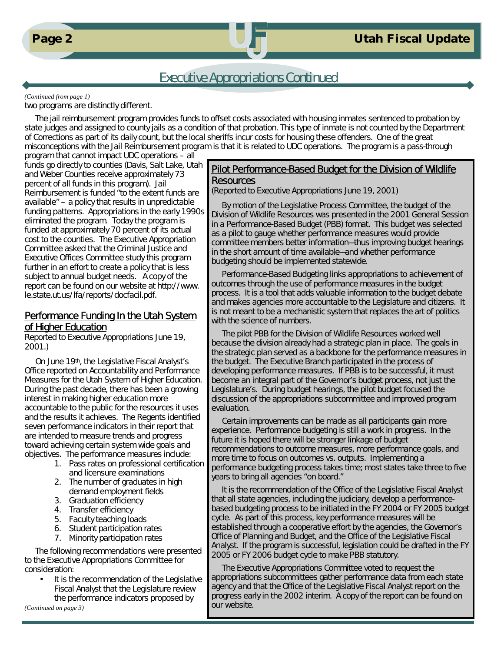

# Executive Appropriations Continued

#### *(Continued from page 1)*

two programs are distinctly different.

 The jail reimbursement program provides funds to offset costs associated with housing inmates sentenced to probation by state judges and assigned to county jails as a condition of that probation. This type of inmate is not counted by the Department of Corrections as part of its daily count, but the local sheriffs incur costs for housing these offenders. One of the great misconceptions with the Jail Reimbursement program is that it is related to UDC operations. The program is a pass-through

program that cannot impact UDC operations – all funds go directly to counties (Davis, Salt Lake, Utah and Weber Counties receive approximately 73 percent of all funds in this program). Jail Reimbursement is funded "to the extent funds are available" – a policy that results in unpredictable funding patterns. Appropriations in the early 1990s eliminated the program. Today the program is funded at approximately 70 percent of its actual cost to the counties. The Executive Appropriation Committee asked that the Criminal Justice and Executive Offices Committee study this program further in an effort to create a policy that is less subject to annual budget needs. A copy of the report can be found on our website at http://www. le.state.ut.us/lfa/reports/docfacil.pdf.

### Performance Funding In the Utah System of Higher Education

Reported to Executive Appropriations June 19, 2001.)

 On June 19th, the Legislative Fiscal Analyst's Office reported on Accountability and Performance Measures for the Utah System of Higher Education. During the past decade, there has been a growing interest in making higher education more accountable to the public for the resources it uses and the results it achieves. The Regents identified seven performance indicators in their report that are intended to measure trends and progress toward achieving certain system wide goals and objectives. The performance measures include:

- 1. Pass rates on professional certification and licensure examinations
- 2. The number of graduates in high demand employment fields
- 3. Graduation efficiency
- 4. Transfer efficiency
- 5. Faculty teaching loads
- 6. Student participation rates
- 7. Minority participation rates

 The following recommendations were presented to the Executive Appropriations Committee for consideration:

It is the recommendation of the Legislative Fiscal Analyst that the Legislature review the performance indicators proposed by

*(Continued on page 3)*

## Pilot Performance-Based Budget for the Division of Wildlife **Resources**

(Reported to Executive Appropriations June 19, 2001)

 By motion of the Legislative Process Committee, the budget of the Division of Wildlife Resources was presented in the 2001 General Session in a Performance-Based Budget (PBB) format. This budget was selected as a pilot to gauge whether performance measures would provide committee members better information—thus improving budget hearings in the short amount of time available—and whether performance budgeting should be implemented statewide.

 Performance-Based Budgeting links appropriations to achievement of outcomes through the use of performance measures in the budget process. It is a tool that adds valuable information to the budget debate and makes agencies more accountable to the Legislature and citizens. It is not meant to be a mechanistic system that replaces the art of politics with the science of numbers.

 The pilot PBB for the Division of Wildlife Resources worked well because the division already had a strategic plan in place. The goals in the strategic plan served as a backbone for the performance measures in the budget. The Executive Branch participated in the process of developing performance measures. If PBB is to be successful, it must become an integral part of the Governor's budget process, not just the Legislature's. During budget hearings, the pilot budget focused the discussion of the appropriations subcommittee and improved program evaluation.

 Certain improvements can be made as all participants gain more experience. Performance budgeting is still a work in progress. In the future it is hoped there will be stronger linkage of budget recommendations to outcome measures, more performance goals, and more time to focus on outcomes vs. outputs. Implementing a performance budgeting process takes time; most states take three to five years to bring all agencies "on board."

 It is the recommendation of the Office of the Legislative Fiscal Analyst that all state agencies, including the judiciary, develop a performancebased budgeting process to be initiated in the FY 2004 or FY 2005 budget cycle. As part of this process, key performance measures will be established through a cooperative effort by the agencies, the Governor's Office of Planning and Budget, and the Office of the Legislative Fiscal Analyst. If the program is successful, legislation could be drafted in the FY 2005 or FY 2006 budget cycle to make PBB statutory.

 The Executive Appropriations Committee voted to request the appropriations subcommittees gather performance data from each state agency and that the Office of the Legislative Fiscal Analyst report on the progress early in the 2002 interim. A copy of the report can be found on our website.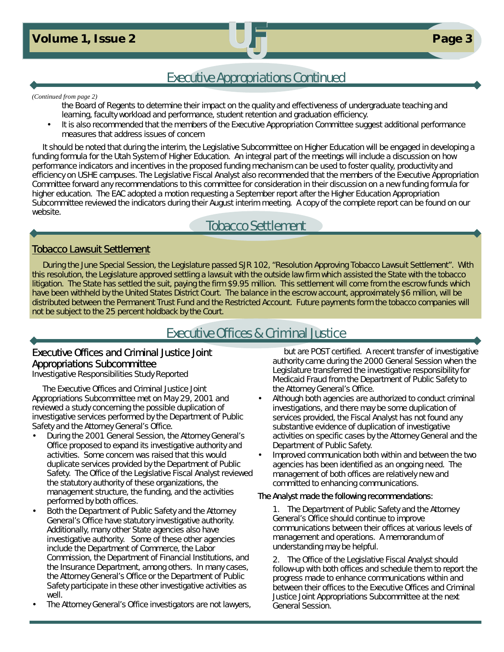**Page 3 Page 3 Page 3 Page 3 Page 3 Page 3 Page 3** 

# Executive Appropriations Continued

#### *(Continued from page 2)*

- the Board of Regents to determine their impact on the quality and effectiveness of undergraduate teaching and learning, faculty workload and performance, student retention and graduation efficiency.
- It is also recommended that the members of the Executive Appropriation Committee suggest additional performance measures that address issues of concern

 It should be noted that during the interim, the Legislative Subcommittee on Higher Education will be engaged in developing a funding formula for the Utah System of Higher Education. An integral part of the meetings will include a discussion on how performance indicators and incentives in the proposed funding mechanism can be used to foster quality, productivity and efficiency on USHE campuses. The Legislative Fiscal Analyst also recommended that the members of the Executive Appropriation Committee forward any recommendations to this committee for consideration in their discussion on a new funding formula for higher education. The EAC adopted a motion requesting a September report after the Higher Education Appropriation Subcommittee reviewed the indicators during their August interim meeting. A copy of the complete report can be found on our website.

# Tobacco Settlement

## Tobacco Lawsuit Settlement

 During the June Special Session, the Legislature passed SJR 102, "Resolution Approving Tobacco Lawsuit Settlement". With this resolution, the Legislature approved settling a lawsuit with the outside law firm which assisted the State with the tobacco litigation. The State has settled the suit, paying the firm \$9.95 million. This settlement will come from the escrow funds which have been withheld by the United States District Court. The balance in the escrow account, approximately \$6 million, will be distributed between the Permanent Trust Fund and the Restricted Account. Future payments form the tobacco companies will not be subject to the 25 percent holdback by the Court.

# Executive Offices & Criminal Justice

## Executive Offices and Criminal Justice Joint Appropriations Subcommittee

Investigative Responsibilities Study Reported

 The Executive Offices and Criminal Justice Joint Appropriations Subcommittee met on May 29, 2001 and reviewed a study concerning the possible duplication of investigative services performed by the Department of Public Safety and the Attorney General's Office.

- During the 2001 General Session, the Attorney General's Office proposed to expand its investigative authority and activities. Some concern was raised that this would duplicate services provided by the Department of Public Safety. The Office of the Legislative Fiscal Analyst reviewed the statutory authority of these organizations, the management structure, the funding, and the activities performed by both offices.
- Both the Department of Public Safety and the Attorney General's Office have statutory investigative authority. Additionally, many other State agencies also have investigative authority. Some of these other agencies include the Department of Commerce, the Labor Commission, the Department of Financial Institutions, and the Insurance Department, among others. In many cases, the Attorney General's Office or the Department of Public Safety participate in these other investigative activities as well.
- The Attorney General's Office investigators are not lawyers,

but are POST certified. A recent transfer of investigative authority came during the 2000 General Session when the Legislature transferred the investigative responsibility for Medicaid Fraud from the Department of Public Safety to the Attorney General's Office.

- Although both agencies are authorized to conduct criminal investigations, and there may be some duplication of services provided, the Fiscal Analyst has not found any substantive evidence of duplication of investigative activities on specific cases by the Attorney General and the Department of Public Safety.
- Improved communication both within and between the two agencies has been identified as an ongoing need. The management of both offices are relatively new and committed to enhancing communications.

#### The Analyst made the following recommendations:

1. The Department of Public Safety and the Attorney General's Office should continue to improve communications between their offices at various levels of management and operations. A memorandum of understanding may be helpful.

2. The Office of the Legislative Fiscal Analyst should follow-up with both offices and schedule them to report the progress made to enhance communications within and between their offices to the Executive Offices and Criminal Justice Joint Appropriations Subcommittee at the next General Session.